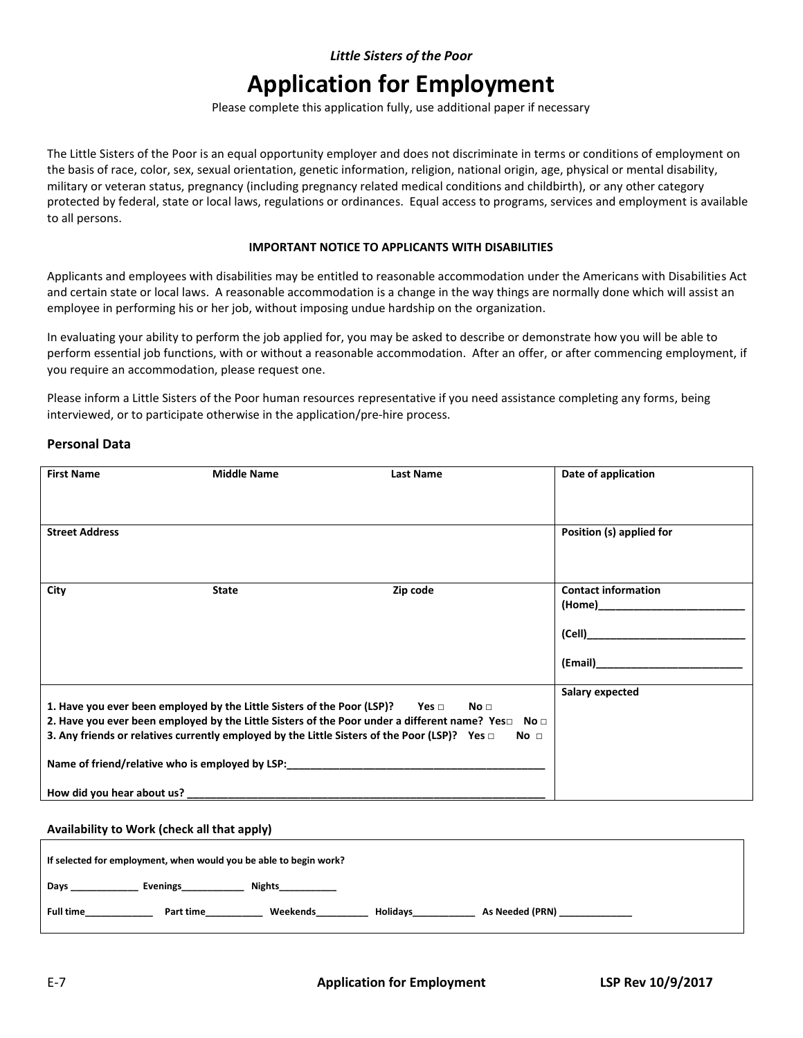# **Application for Employment**

Please complete this application fully, use additional paper if necessary

The Little Sisters of the Poor is an equal opportunity employer and does not discriminate in terms or conditions of employment on the basis of race, color, sex, sexual orientation, genetic information, religion, national origin, age, physical or mental disability, military or veteran status, pregnancy (including pregnancy related medical conditions and childbirth), or any other category protected by federal, state or local laws, regulations or ordinances. Equal access to programs, services and employment is available to all persons.

#### **IMPORTANT NOTICE TO APPLICANTS WITH DISABILITIES**

Applicants and employees with disabilities may be entitled to reasonable accommodation under the Americans with Disabilities Act and certain state or local laws. A reasonable accommodation is a change in the way things are normally done which will assist an employee in performing his or her job, without imposing undue hardship on the organization.

In evaluating your ability to perform the job applied for, you may be asked to describe or demonstrate how you will be able to perform essential job functions, with or without a reasonable accommodation. After an offer, or after commencing employment, if you require an accommodation, please request one.

Please inform a Little Sisters of the Poor human resources representative if you need assistance completing any forms, being interviewed, or to participate otherwise in the application/pre-hire process.

### **Personal Data**

| <b>First Name</b>                                                                                                   | <b>Middle Name</b>                                                                 | Last Name                                                                                                             | Date of application                                                                                                                                                                                                           |
|---------------------------------------------------------------------------------------------------------------------|------------------------------------------------------------------------------------|-----------------------------------------------------------------------------------------------------------------------|-------------------------------------------------------------------------------------------------------------------------------------------------------------------------------------------------------------------------------|
|                                                                                                                     |                                                                                    |                                                                                                                       |                                                                                                                                                                                                                               |
|                                                                                                                     |                                                                                    |                                                                                                                       |                                                                                                                                                                                                                               |
| <b>Street Address</b>                                                                                               |                                                                                    |                                                                                                                       | Position (s) applied for                                                                                                                                                                                                      |
|                                                                                                                     |                                                                                    |                                                                                                                       |                                                                                                                                                                                                                               |
|                                                                                                                     |                                                                                    |                                                                                                                       |                                                                                                                                                                                                                               |
| City                                                                                                                | <b>State</b>                                                                       | Zip code                                                                                                              | <b>Contact information</b>                                                                                                                                                                                                    |
|                                                                                                                     |                                                                                    |                                                                                                                       | (Home) in the contract of the contract of the contract of the contract of the contract of the contract of the contract of the contract of the contract of the contract of the contract of the contract of the contract of the |
|                                                                                                                     |                                                                                    |                                                                                                                       |                                                                                                                                                                                                                               |
|                                                                                                                     |                                                                                    |                                                                                                                       | (Cell) and the contract of the contract of the contract of the contract of the contract of the contract of the                                                                                                                |
|                                                                                                                     |                                                                                    |                                                                                                                       |                                                                                                                                                                                                                               |
|                                                                                                                     |                                                                                    |                                                                                                                       |                                                                                                                                                                                                                               |
|                                                                                                                     |                                                                                    |                                                                                                                       | Salary expected                                                                                                                                                                                                               |
|                                                                                                                     | 1. Have you ever been employed by the Little Sisters of the Poor (LSP)? Yes $\Box$ | No <sub>1</sub>                                                                                                       |                                                                                                                                                                                                                               |
| 2. Have you ever been employed by the Little Sisters of the Poor under a different name? Yes $\square$ No $\square$ |                                                                                    |                                                                                                                       |                                                                                                                                                                                                                               |
|                                                                                                                     |                                                                                    | 3. Any friends or relatives currently employed by the Little Sisters of the Poor (LSP)? Yes $\Box$<br>No <sub>1</sub> |                                                                                                                                                                                                                               |
|                                                                                                                     |                                                                                    | Name of friend/relative who is employed by LSP:                                                                       |                                                                                                                                                                                                                               |
|                                                                                                                     |                                                                                    |                                                                                                                       |                                                                                                                                                                                                                               |
|                                                                                                                     |                                                                                    |                                                                                                                       |                                                                                                                                                                                                                               |

**Availability to Work (check all that apply)**

| If selected for employment, when would you be able to begin work? |                 |  |  |  |
|-------------------------------------------------------------------|-----------------|--|--|--|
| Nights<br><b>Evenings</b><br>Days                                 |                 |  |  |  |
| <b>Full time</b><br>Weekends<br><b>Holidavs</b><br>Part time      | As Needed (PRN) |  |  |  |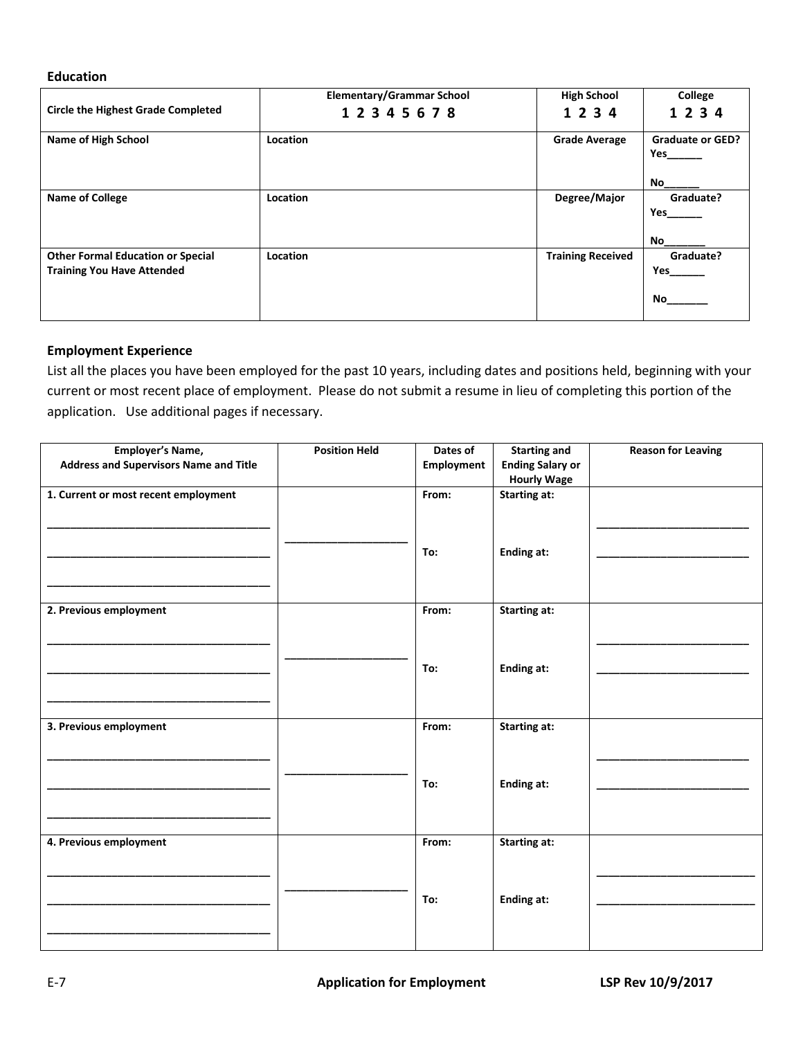# **Education**

| <b>Circle the Highest Grade Completed</b>                                     | <b>Elementary/Grammar School</b><br>12345678 | <b>High School</b><br>1 2 3 4 | College<br>1 2 3 4             |
|-------------------------------------------------------------------------------|----------------------------------------------|-------------------------------|--------------------------------|
|                                                                               |                                              |                               |                                |
| <b>Name of High School</b>                                                    | Location                                     | <b>Grade Average</b>          | <b>Graduate or GED?</b><br>Yes |
|                                                                               |                                              |                               | No                             |
| <b>Name of College</b>                                                        | Location                                     | Degree/Major                  | Graduate?<br>Yes               |
|                                                                               |                                              |                               | No                             |
| <b>Other Formal Education or Special</b><br><b>Training You Have Attended</b> | Location                                     | <b>Training Received</b>      | Graduate?<br>Yes               |
|                                                                               |                                              |                               | No.                            |

# **Employment Experience**

List all the places you have been employed for the past 10 years, including dates and positions held, beginning with your current or most recent place of employment. Please do not submit a resume in lieu of completing this portion of the application. Use additional pages if necessary.

| <b>Employer's Name,</b><br><b>Address and Supervisors Name and Title</b> | <b>Position Held</b> | Dates of<br><b>Employment</b> | <b>Starting and</b><br><b>Ending Salary or</b><br><b>Hourly Wage</b> | <b>Reason for Leaving</b> |
|--------------------------------------------------------------------------|----------------------|-------------------------------|----------------------------------------------------------------------|---------------------------|
| 1. Current or most recent employment                                     |                      | From:<br>To:                  | <b>Starting at:</b><br><b>Ending at:</b>                             |                           |
|                                                                          |                      |                               |                                                                      |                           |
| 2. Previous employment                                                   |                      | From:                         | <b>Starting at:</b>                                                  |                           |
|                                                                          |                      | To:                           | <b>Ending at:</b>                                                    |                           |
| 3. Previous employment                                                   |                      | From:                         | <b>Starting at:</b>                                                  |                           |
|                                                                          |                      | To:                           | <b>Ending at:</b>                                                    |                           |
| 4. Previous employment                                                   |                      | From:                         | <b>Starting at:</b>                                                  |                           |
|                                                                          |                      | To:                           | <b>Ending at:</b>                                                    |                           |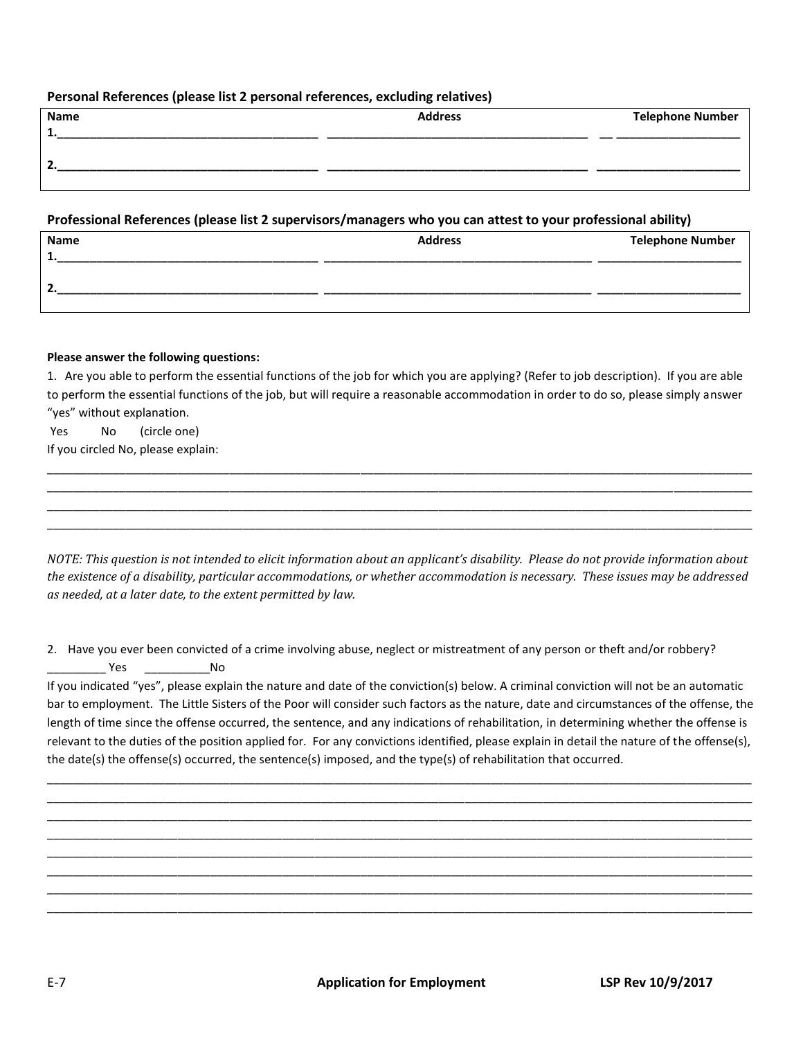## **Personal References (please list 2 personal references, excluding relatives)**

| Name | <b>Address</b> | <b>Telephone Number</b> |
|------|----------------|-------------------------|
|      |                |                         |
|      |                |                         |
|      |                |                         |
|      |                |                         |

## **Professional References (please list 2 supervisors/managers who you can attest to your professional ability)**

| Name           | <b>Address</b> | <b>Telephone Number</b> |
|----------------|----------------|-------------------------|
| 1              |                |                         |
| $\overline{2}$ |                |                         |
|                |                |                         |

### **Please answer the following questions:**

1. Are you able to perform the essential functions of the job for which you are applying? (Refer to job description). If you are able to perform the essential functions of the job, but will require a reasonable accommodation in order to do so, please simply answer "yes" without explanation.

\_\_\_\_\_\_\_\_\_\_\_\_\_\_\_\_\_\_\_\_\_\_\_\_\_\_\_\_\_\_\_\_\_\_\_\_\_\_\_\_\_\_\_\_\_\_\_\_\_\_\_\_\_\_\_\_\_\_\_\_\_\_\_\_\_\_\_\_\_\_\_\_\_\_\_\_\_\_\_\_\_\_\_\_\_\_\_\_\_\_\_\_\_\_\_\_\_\_\_\_\_\_\_\_\_\_\_\_ \_\_\_\_\_\_\_\_\_\_\_\_\_\_\_\_\_\_\_\_\_\_\_\_\_\_\_\_\_\_\_\_\_\_\_\_\_\_\_\_\_\_\_\_\_\_\_\_\_\_\_\_\_\_\_\_\_\_\_\_\_\_\_\_\_\_\_\_\_\_\_\_\_\_\_\_\_\_\_\_\_\_\_\_\_\_\_\_\_\_\_\_\_\_\_\_\_\_\_\_\_\_\_\_\_\_\_\_ \_\_\_\_\_\_\_\_\_\_\_\_\_\_\_\_\_\_\_\_\_\_\_\_\_\_\_\_\_\_\_\_\_\_\_\_\_\_\_\_\_\_\_\_\_\_\_\_\_\_\_\_\_\_\_\_\_\_\_\_\_\_\_\_\_\_\_\_\_\_\_\_\_\_\_\_\_\_\_\_\_\_\_\_\_\_\_\_\_\_\_\_\_\_\_\_\_\_\_\_\_\_\_\_\_\_\_\_ \_\_\_\_\_\_\_\_\_\_\_\_\_\_\_\_\_\_\_\_\_\_\_\_\_\_\_\_\_\_\_\_\_\_\_\_\_\_\_\_\_\_\_\_\_\_\_\_\_\_\_\_\_\_\_\_\_\_\_\_\_\_\_\_\_\_\_\_\_\_\_\_\_\_\_\_\_\_\_\_\_\_\_\_\_\_\_\_\_\_\_\_\_\_\_\_\_\_\_\_\_\_\_\_\_\_\_\_

Yes No (circle one)

If you circled No, please explain:

*NOTE: This question is not intended to elicit information about an applicant's disability. Please do not provide information about the existence of a disability, particular accommodations, or whether accommodation is necessary. These issues may be addressed as needed, at a later date, to the extent permitted by law.* 

2. Have you ever been convicted of a crime involving abuse, neglect or mistreatment of any person or theft and/or robbery? \_\_\_\_\_\_\_\_\_ Yes \_\_\_\_\_\_\_\_\_\_No

If you indicated "yes", please explain the nature and date of the conviction(s) below. A criminal conviction will not be an automatic bar to employment. The Little Sisters of the Poor will consider such factors as the nature, date and circumstances of the offense, the length of time since the offense occurred, the sentence, and any indications of rehabilitation, in determining whether the offense is relevant to the duties of the position applied for. For any convictions identified, please explain in detail the nature of the offense(s), the date(s) the offense(s) occurred, the sentence(s) imposed, and the type(s) of rehabilitation that occurred.

\_\_\_\_\_\_\_\_\_\_\_\_\_\_\_\_\_\_\_\_\_\_\_\_\_\_\_\_\_\_\_\_\_\_\_\_\_\_\_\_\_\_\_\_\_\_\_\_\_\_\_\_\_\_\_\_\_\_\_\_\_\_\_\_\_\_\_\_\_\_\_\_\_\_\_\_\_\_\_\_\_\_\_\_\_\_\_\_\_\_\_\_\_\_\_\_\_\_\_\_\_\_\_\_\_\_\_\_ \_\_\_\_\_\_\_\_\_\_\_\_\_\_\_\_\_\_\_\_\_\_\_\_\_\_\_\_\_\_\_\_\_\_\_\_\_\_\_\_\_\_\_\_\_\_\_\_\_\_\_\_\_\_\_\_\_\_\_\_\_\_\_\_\_\_\_\_\_\_\_\_\_\_\_\_\_\_\_\_\_\_\_\_\_\_\_\_\_\_\_\_\_\_\_\_\_\_\_\_\_\_\_\_\_\_\_\_ \_\_\_\_\_\_\_\_\_\_\_\_\_\_\_\_\_\_\_\_\_\_\_\_\_\_\_\_\_\_\_\_\_\_\_\_\_\_\_\_\_\_\_\_\_\_\_\_\_\_\_\_\_\_\_\_\_\_\_\_\_\_\_\_\_\_\_\_\_\_\_\_\_\_\_\_\_\_\_\_\_\_\_\_\_\_\_\_\_\_\_\_\_\_\_\_\_\_\_\_\_\_\_\_\_\_\_\_ \_\_\_\_\_\_\_\_\_\_\_\_\_\_\_\_\_\_\_\_\_\_\_\_\_\_\_\_\_\_\_\_\_\_\_\_\_\_\_\_\_\_\_\_\_\_\_\_\_\_\_\_\_\_\_\_\_\_\_\_\_\_\_\_\_\_\_\_\_\_\_\_\_\_\_\_\_\_\_\_\_\_\_\_\_\_\_\_\_\_\_\_\_\_\_\_\_\_\_\_\_\_\_\_\_\_\_\_ \_\_\_\_\_\_\_\_\_\_\_\_\_\_\_\_\_\_\_\_\_\_\_\_\_\_\_\_\_\_\_\_\_\_\_\_\_\_\_\_\_\_\_\_\_\_\_\_\_\_\_\_\_\_\_\_\_\_\_\_\_\_\_\_\_\_\_\_\_\_\_\_\_\_\_\_\_\_\_\_\_\_\_\_\_\_\_\_\_\_\_\_\_\_\_\_\_\_\_\_\_\_\_\_\_\_\_\_ \_\_\_\_\_\_\_\_\_\_\_\_\_\_\_\_\_\_\_\_\_\_\_\_\_\_\_\_\_\_\_\_\_\_\_\_\_\_\_\_\_\_\_\_\_\_\_\_\_\_\_\_\_\_\_\_\_\_\_\_\_\_\_\_\_\_\_\_\_\_\_\_\_\_\_\_\_\_\_\_\_\_\_\_\_\_\_\_\_\_\_\_\_\_\_\_\_\_\_\_\_\_\_\_\_\_\_\_ \_\_\_\_\_\_\_\_\_\_\_\_\_\_\_\_\_\_\_\_\_\_\_\_\_\_\_\_\_\_\_\_\_\_\_\_\_\_\_\_\_\_\_\_\_\_\_\_\_\_\_\_\_\_\_\_\_\_\_\_\_\_\_\_\_\_\_\_\_\_\_\_\_\_\_\_\_\_\_\_\_\_\_\_\_\_\_\_\_\_\_\_\_\_\_\_\_\_\_\_\_\_\_\_\_\_\_\_ \_\_\_\_\_\_\_\_\_\_\_\_\_\_\_\_\_\_\_\_\_\_\_\_\_\_\_\_\_\_\_\_\_\_\_\_\_\_\_\_\_\_\_\_\_\_\_\_\_\_\_\_\_\_\_\_\_\_\_\_\_\_\_\_\_\_\_\_\_\_\_\_\_\_\_\_\_\_\_\_\_\_\_\_\_\_\_\_\_\_\_\_\_\_\_\_\_\_\_\_\_\_\_\_\_\_\_\_